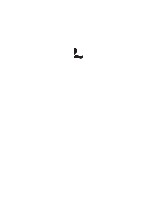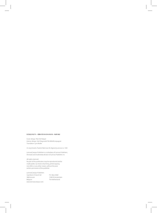#### D/2022/45/11 – ISBN 978 94 014 81618 – NUR 802

Cover design: Peer De Maeyer Interior design: Gert Degrande | De Witlofcompagnie Translation: Lynn Butler

© Jorg Snoeck, Pauline Neerman & Uitgeverij Lannoo nv, Tielt

LannooCampus Publishers is a subsidiary of Lannoo Publishers, the book and multimedia division of Lannoo Publishers nv.

All rights reserved. No part of this publication may be reproduced and/or made public, by means of printing, photocopying, microfilm or any other means, without the prior written permission of the publisher.

| P O Box 23202     |
|-------------------|
| 1100 DS Amsterdam |
| The Netherlands   |
|                   |
|                   |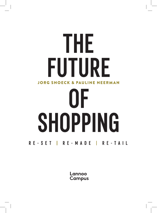# **THE** FUTURE **JORG SNOECK & PAULINE NEERMAN** OF SHOPPING RE-SET | RE-MADE | RE-TAIL

Lannoo **Campus**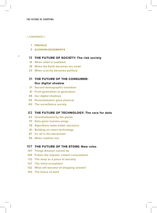#### **// CONTENTS //**

- **7 PREFACE**
- **9 ACKNOWLEDGEMENTS**

#### **13** THE FUTURE OF SOCIETY: The risk society

- **14 When retail is outdated**
- **18 When the Earth becomes too small**
- **23 When scarcity becomes political**

## **31** THE FUTURE OF THE CONSUMER: Our digital shadow

- **31 Second demographic transition**
- **41 From generation to generation**
- **48 Our digital shadows**
- **55 Personalisation goes physical**
- **60 The surveillance society**

#### **63** THE FUTURE OF TECHNOLOGY: The race for data

- **63 Overshadowed by the giants**
- **70 Data gives humans wings**
- **78 Algorithms make better decisions**
- **81 Building on smart technology**
- **87 It's all in the blockchain**
- **94 When realities mix**

#### **107** THE FUTURE OF THE STORE: New roles

- **107 Things Amazon cannot do**
- **109 Follow the impulse: instant consumption**
- **112 The shop as a place of worship**
- **127 The inline ecosystem**
- **132 What will become of shopping streets?**
- **143 The future of work**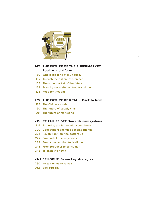

# **149** THE FUTURE OF THE SUPERMARKET: Food as a platform

- **150 Who is nibbling at my house?**
- **157 To each their share of stomach**
- **159 The supermarket of the future**
- **168 Scarcity necessitates food transition**
- **175 Food for thought**

#### **179** THE FUTURE OF RETAIL: Back to front

- **179 The Chinese model**
- **190 The future of supply chain**
- **201 The future of marketing**

#### **215** RE-TAIL RE-SET: Towards new systems

- **216 Exploring the future with speedboats**
- **220 Coopetition: enemies become friends**
- **224 Revolution from the bottom up**
- **227 From retail to ecosystems**
- **238 From consumption to livelihood**
- **243 From producer to consumer**
- **246 To each their own**

## **248** EPILOGUE: Seven key strategies

- **260 Re-tail re-made re-cap**
- **262 Bibliography**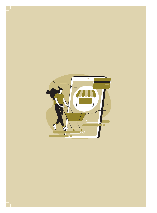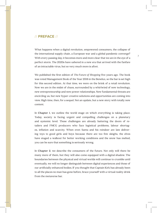# **// PREFACE //**

What happens when a digital revolution, empowered consumers, the collapse of the international supply chain, a European war and a global pandemic converge? With every passing day, it becomes more and more clear that we are in the eye of a perfect storm. The 2020s have ushered in a new era that arrived with the fanfare of an intractable virus, but so very much more is afoot.

We published the first edition of *The Future of Shopping* five years ago. The book was voted Management Book of the Year 2018 in the Benelux, so the bar is set high for this second edition. At that time, we were on the brink of a retail revolution. Now we are in the midst of chaos, surrounded by a whirlwind of new technology, new entrepreneurship and new power relationships. New fundamental threats are encircling us, but new hyper-creative solutions and opportunities are coming into view. High time, then, for a sequel. Not an update, but a new story with totally new content.

In **Chapter 1**, we outline the world stage on which everything is taking place. Today, society is facing urgent and compelling challenges on a planetary and systemic level. These challenges are already battering the doors of retailers and FMCG producers who face logistical problems, labour shortages, inflation and scarcity. When even Santa and his reindeer are late delivering toys to good girls and boys because there are too few sleighs, the elves have staged a walkout for better working conditions and the snow has melted, you can be sure that something is seriously wrong.

In **Chapter 2**, we describe the consumers of the future. Not only will there be many more of them, but they will also come equipped with a digital shadow. The boundaries between the physical and virtual worlds will continue to crumble until eventually, we will no longer distinguish between digital experiences and those of our artificially enhanced bodies. If you thought that Captain Kirk has already been to all the places no man has gone before, brace yourself with a virtual reality drink from the metaverse bar.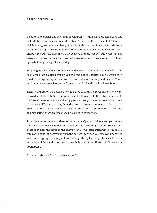Ubiquitous technology is the focus of **Chapter 3**. What plans do Jeff Bezos and Jack Ma have up their sleeves? Or rather: Xi Jinping, the President of China, as Jack Ma has gone very quiet lately. Are robots about to dominate the world? Some of the technologies described in the first edition remain viable, while others have disappeared. Are the skies filled with delivery drones? Not yet, but when that day arrives no one will be surprised. We will introduce you to a wide range of technologies that are proving relevant today.

Shopping involves shops, but will it stay this way? What will be the role of a shop in an ever more digitised world? You will find out in **Chapter 4**, but be warned: it could be a religious experience. You will find nutrition for body and mind in **Chapter 5**, where we take a look at the future of our food and how it will reach us.

Then, in **Chapter 6**, we describe why it is time to press the reset button if we want to avoid a retail crash. No need for a crystal ball to see into the future, just look to the East. Chinese retailers are already passing through the retail door into a future that is very different from anything the West has ever experienced. What can we learn from the Chinese retail model? From the future of production to deliveries and marketing, there are lessons to be learned in every area.

Take the lessons home and dare to share them. Open your doors and your mindset. Take your enemies under your wing and start working together. Send speedboats to explore the scope of the 'Brave New World'; send submarines too, so you can learn about the new world from the bottom up. When you discover uncharted land, start digging. New ways of consuming offer golden opportunities. How, for example, will the 'rundle' become the new holy grail of retail? You will discover this in **Chapter 7**.

Are you ready for it? Let's re-make re-tail!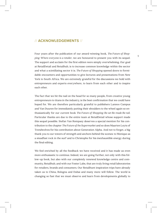# **// ACKNOWLEDGEMENTS //**

Four years after the publication of our award-winning book, *The Future of Shopping: Where everyone is a retailer*, we are honoured to present you with its sequel. The support and acclaim for the first edition were simply overwhelming. Our goal at RetailDetail and Retailhub, is to increase common knowledge within the sector and what a scintillating sector it is. *The Future of Shopping* opened doors to formidable encounters and opportunities to give lectures and presentations from New York to South Africa. We are extremely grateful for the discussions we hold with entrepreneurs and experts everywhere, to learn from each other and to inspire each other.

The fact that we hit the nail on the head for so many people, from creative young entrepreneurs to titans in the industry, is the best confirmation that we could have hoped for. We are therefore particularly grateful to publishers Lannoo Campus and Van Duuren for immediately putting their shoulders to the wheel again so enthusiastically for our current book *The Future of Shopping: Re-set Re-made Re-tail*. Particular thanks are due to the entire team at RetailDetail whose support made this sequel possible. Stefan Van Rompaey deserves a special mention for his contribution to the chapter *The Future of the Supermarket* and so does Maarten Leyts of Trendwolves for his contribution about Generation Alpha. And not to forget, a big thank you to our towers of strength and anchors behind the scenes: to Monique as a steadfast rock in the surf and to Christophe for his inexhaustible energy during the final editing.

We feel enriched by all the feedback we have received and it has made us even more enthusiastic to continue. Indeed, we are going further, not only with this follow-up book, but also with our completely renewed knowledge centre and community, Retailhub, and with our Foster Labs, that are truly living retail laboratories for retailers, brands and consumers. Our Retailhunt inspiration trips have already taken us to China, Bologna and Dubai and many more will follow. The world is changing so fast that we must observe and learn from developments globally to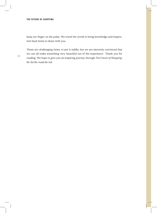keep our finger on the pulse. We travel the world to bring knowledge and inspiration back home to share with you.

These are challenging times, to put it mildly, but we are sincerely convinced that we can all make something very beautiful out of the experience. Thank you for reading. We hope to give you an inspiring journey through *The Future of Shopping: Re-Set Re-made Re-tail*.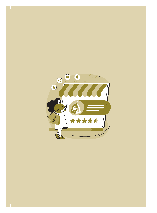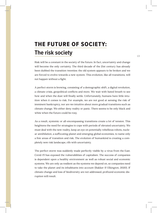# THE FUTURE OF SOCIETY: **The risk society**

Risk will be a constant in the society of the future. In fact, uncertainty and change will become the only certainty. The third decade of the 21st century has already been dubbed the transition twenties: the old system appears to be broken and we are forced to evolve towards a new system. This evolution, like all transitions, will not happen without a fight.

A perfect storm is brewing, consisting of a demographic shift, a digital revolution, a climate crisis, geopolitical conflicts and more. We wait with bated breath to see how and when the dust will finally settle. Unfortunately, humans have little intuition when it comes to risk. For example, we are not good at sensing the risk of imminent bankruptcy, nor are we intuitive about more gradual transitions such as climate change. We either deny reality or panic. There seems to be only black and white when the future could be rosy.

As a result, systemic or all-encompassing transitions create a lot of tension. This heightens the need for strategies to cope with periods of elevated uncertainty. We must deal with the new reality, keep an eye on potentially rebellious robots, nuclear annihilation, a suffocating planet and emerging global economies, to name only a few areas of transition and risk. The evolution of humankind is creating a completely new risk landscape, rife with uncertainty.

The perfect storm was suddenly made perfectly visible by a virus from the East. Covid-19 has exposed the vulnerabilities of capitalism. The success of companies is dependent upon a healthy environment as well as robust social and economic systems. We are only as resilient as the systems we depend on, so companies need to take the planet and its inhabitants into account (Bakker & Elkington, 2020). If climate change and loss of biodiversity are not addressed, profound economic disruption will result.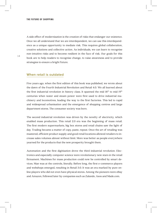A side effect of modernisation is the creation of risks that endanger our existence. Once we all understand that we are interdependent, we can use this interdependence as a unique opportunity to mediate risk. This requires global collaboration, creative solutions and collective action. As individuals, we can learn to recognise non-intuitive risks and to become resilient in the face of risk. Our goals for this book are to help readers to recognise change, to raise awareness and to provide strategies to ensure a bright future.

## **When retail is outdated**

Five years ago, when the first edition of this book was published, we wrote about the dawn of the Fourth Industrial Revolution and Retail 4.0. We all learned about the first industrial revolution in history class. It spanned the mid 18<sup>th</sup> to mid 19<sup>th</sup> centuries when water and steam power were first used to drive industrial machinery and locomotives, leading the way to the first factories. This led to rapid and widespread urbanisation and the emergence of shopping centres and large department stores. The consumer society was born.

The second industrial revolution was driven by the novelty of electricity, which enabled mass production. This retail 2.0 era was the beginning of mass retail. The first modern supermarkets, big box stores and retail chains saw the light of day. Trading became a matter of copy, paste, repeat. Once the art of retailing was mastered, efficient product supply and good retail locations allowed retailers to increase sales volumes almost without limit. More was better as people everywhere yearned for the products that the new prosperity brought them.

Automation and the first digitisation drove the third industrial revolution. Electronics and especially computer science were revolutionary new stars in the retail firmament. Machines for mass production could now be controlled by smart devices. Man was at the controls, literally. Before long, the first e-commerce players and webshops emerged, resulting in Retail 3.0. It was an era marked by pure online players who did not even have physical stores. Among the pioneers were eBay and Amazon, followed later by companies such as Zalando, Asos and Made.com.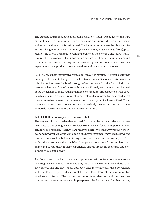The current, fourth industrial and retail revolution (Retail 4.0) builds on the third but still deserves a special mention because of the unprecedented speed, scope and impact with which it is taking hold. The boundaries between the physical, digital and biological spheres are blurring, as described by Klaus Schwab (2016), president of the World Economic Forum and creator of the concept. The fourth industrial revolution is above all an information or data revolution. The unique amount of data that we have at our disposal because of digitisation creates new consumer expectations, new products, new innovations and new operating models.

Retail 4.0 was in its infancy five years ago; today it is mature. The retail sector has undergone turbulent change over the last two decades. One obvious stimulant for this change has been the breakthrough of e-commerce, but the fourth industrial revolution has been fuelled by something more. Namely, consumers have changed. In the golden age of mass retail and mass consumption, brands pushed their products to consumers through retail channels (stores) supported by mass media that created massive demand. In the meantime, power dynamics have shifted. Today there are more channels, consumers are increasingly diverse and most importantly there is more information, much more information.

#### **Retail 4.0: It is no longer (just) about retail**

The way we inform ourselves has evolved from paper leaflets and television advertisements to search engines and reviews from experts, fellow shoppers and price comparison providers. When we are ready to decide we can buy wherever, whenever and however we want. Consumers are better informed: they read reviews and compare prices online before entering a store and they continue to compare from within the store using their mobiles. Shoppers expect more from retailers, both online and during their in-store experience. Brands are losing their grip and consumers are seizing power.

As *phonosapiens*, thanks to the minicomputers in their pockets, consumers are always digitally connected. As a result, they have more choice and less patience than ever before. The one-size-fits-all approach once internationally used by retailers and brands no longer works, even at the local level. Ironically, globalisation has killed standardisation. The mobile (r)evolution is accelerating, and the consumer now expects a total experience, hyper-personalised especially for them at any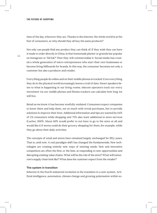time of the day, wherever they are. Thanks to the internet, the whole world is at the feet of consumers, so why should they all buy the same products?

Not only can people find any product they can think of, if they wish they can have it made to order directly in China. Is that homemade planter or granola bar popular on Instagram or TikTok? Then they will commercialise it. Social media has created a whole generation of micro-entrepreneurs who start their own businesses or become living billboards for brands. In this way, the consumer becomes not only a customer but also a producer and retailer.

Everything people do online and on their mobile phones is tracked. Even everything they do in the physical world increasingly leaves a trail of data. Smart speakers listen to what is happening in our living rooms, telecom operators track our every movement via our mobile phones and fitness trackers can calculate how long we will live.

Retail as we know it has become woefully outdated. Consumers expect companies to know them and help them, not so much with trivial purchases, but to provide solutions to improve their lives. Additional information and tips are wanted by 64% of US consumers while shopping and 75% also want additional in-store services (Lachut, 2019). About 60% would prefer to not have to go to the store at all and would like it if stores could do their grocery shopping for them, for example, while they go about their daily activities.

The concepts of retail and stores have remained largely unchanged for fifty years. That is, until now. A real paradigm shift has changed the fundamentals. New technologies are creating entirely new ways of meeting needs. New and innovative competitors are often the first, or the best, at responding to new opportunities and disrupting existing value chains. What will be the role of the store? What will tomorrow's supply chain look like? What does the customer expect from the retailer?

#### **The system in transition**

Inherent in the fourth industrial revolution is the transition to a new system. Artificial intelligence, automation, climate change and growing polarisation within so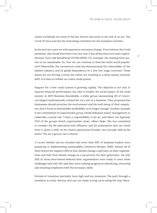cieties worldwide are some of the key drivers that point to the end of an era. The Covid-19 virus was but the welcoming committee for the transition twenties.

In the next ten years we will experience enormous change. 'Even without the Covid pandemic, this would have been true, but now it has all become even more urgent', Herman Toch told RetailDetail (19/08/2020). For example, the existing food system is not sustainable. So, how we can continue to feed the entire world population? Meanwhile, the coronavirus crisis has demonstrated the vulnerability of the fashion industry and its global dependence on a few low-wage countries. These issues are not driving a trend, but rather are resulting in a deep-seated, systemic shift. It is time to rethink our entire retail system.

Support for a new retail system is growing rapidly. The objective is not only to improve financial performance, but also to modify the social impact of the retail system. In 2019 Business Roundtable, a lobby group representing 181 of America's largest multinationals, revised the very aim of a business. They proposed that businesses should prioritise the environment and the well-being of their employees, that a focus on shareholder profitability is no longer enough. Another example is the commitment of supermarket group Ahold Delhaize's senior management to undertake a social role. 'I have a responsibility to do so', said Marit van Egmond, CEO of the group's Dutch supermarket chain, Albert Heijn. She has committed to consider the ills associated with affluence and the polarisation that can result from it. Quite a shift, as the chain's eponymous founder once proudly held as his motto: 'We are a grocer, not a church.'

A recent Deloitte survey revealed that more than 90% of business leaders were preparing or implementing sustainability initiatives (Renjen, 2016). Almost all of them feared the negative effects that climate change could have on their organisations and half cited climate change as a top priority for their generation. Yet only 20% of those interviewed believed their organisations were ready to meet these challenges and only 10% said they were making progress in identifying, attracting and retaining employees with the necessary skills.

Periods of transition inevitably have high and low moments. The path through a transition is rarely obvious and one can make wrong turns along the way. More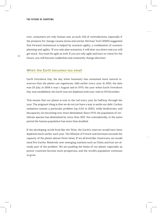over, consumers are only human and, as such, full of contradictions, especially if the pressure for change causes stress and unrest. Herman Toch (2020) suggested that forward momentum is helped by scenario-agility, a combination of scenario planning and agility: 'If you only plan scenarios, it will slow you down and you will get stuck. You must be agile as well. If you are only agile and have no vision for the future, you will become rudderless and constantly change direction.'

#### **When the Earth becomes too small**

Earth Overshoot Day, the day when humanity has consumed more natural resources than the planet can regenerate, falls earlier every year. In 2021, the date was 29 July, in 2018 it was 1 August and in 1970, the year when Earth Overshoot Day was established, the Earth was not depleted until year-end on 29 December.

This means that our planet is now in the red every year by halfway through the year. The poignant thing is that we do not yet have a way to settle our debt. Carbon emissions remain a particular problem (up 6.6% in 2021), while biodiversity and biocapacity are becoming ever more diminished. Since 1970, the population of vertebrate species has diminished by more than 50%. Not coincidentally, in the same period the human population has more than doubled.

If the developing world lived like the West, the Earth's reserves would have been depleted much earlier each year. The lifestyle of French and Germans exceeds the capacity of the planet almost three times. If we all lived like Americans, we would need five Earths. Relatively new emerging markets such as China and Iran are already part of the problem. We are pushing the limits of our planet, especially as poorer countries become more prosperous, and the world's population continues to grow.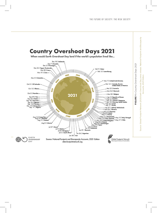# **Country Overshoot Days 2021**

When would Earth Overshoot Day land if the world's population lived like...



**FIGURE 1 •** Country Overshoot Days 2021

FIGURE 1 . Country Overshoot Days 2021